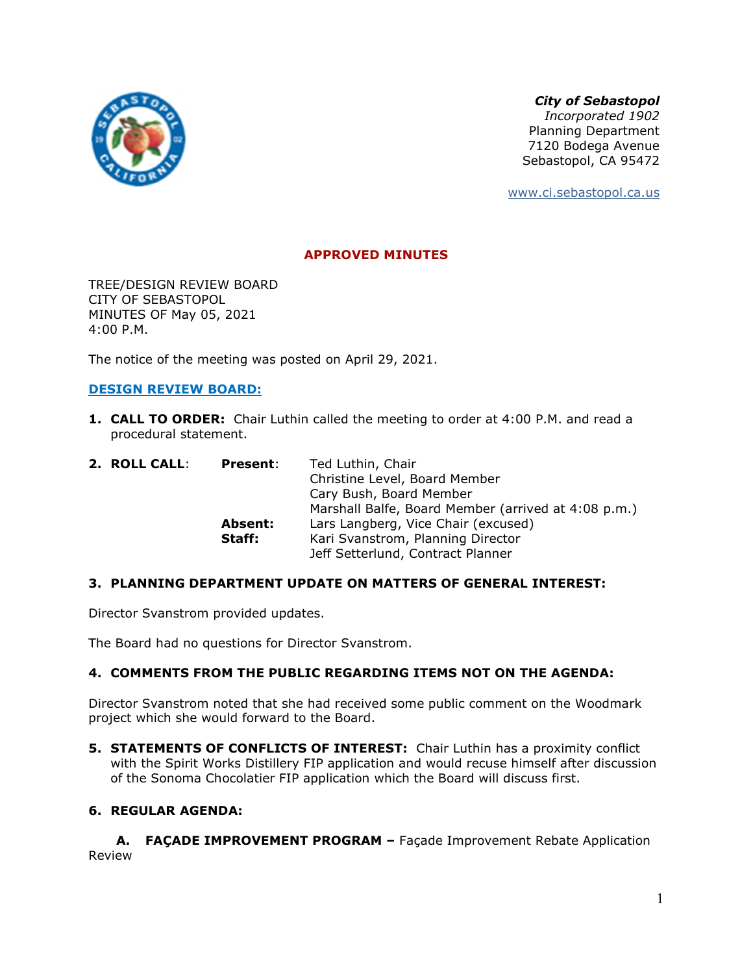

*City of Sebastopol*

*Incorporated 1902*  Planning Department 7120 Bodega Avenue Sebastopol, CA 95472

www.ci.sebastopol.ca.us

# **APPROVED MINUTES**

TREE/DESIGN REVIEW BOARD CITY OF SEBASTOPOL MINUTES OF May 05, 2021 4:00 P.M.

The notice of the meeting was posted on April 29, 2021.

## **DESIGN REVIEW BOARD:**

**1. CALL TO ORDER:** Chair Luthin called the meeting to order at 4:00 P.M. and read a procedural statement.

| 2. ROLL CALL: | <b>Present:</b> | Ted Luthin, Chair                                   |
|---------------|-----------------|-----------------------------------------------------|
|               |                 | Christine Level, Board Member                       |
|               |                 | Cary Bush, Board Member                             |
|               |                 | Marshall Balfe, Board Member (arrived at 4:08 p.m.) |
|               | Absent:         | Lars Langberg, Vice Chair (excused)                 |
|               | Staff:          | Kari Svanstrom, Planning Director                   |
|               |                 | Jeff Setterlund, Contract Planner                   |
|               |                 |                                                     |

## **3. PLANNING DEPARTMENT UPDATE ON MATTERS OF GENERAL INTEREST:**

Director Svanstrom provided updates.

The Board had no questions for Director Svanstrom.

## **4. COMMENTS FROM THE PUBLIC REGARDING ITEMS NOT ON THE AGENDA:**

Director Svanstrom noted that she had received some public comment on the Woodmark project which she would forward to the Board.

**5. STATEMENTS OF CONFLICTS OF INTEREST:** Chair Luthin has a proximity conflict with the Spirit Works Distillery FIP application and would recuse himself after discussion of the Sonoma Chocolatier FIP application which the Board will discuss first.

## **6. REGULAR AGENDA:**

**A. FAÇADE IMPROVEMENT PROGRAM –** Façade Improvement Rebate Application Review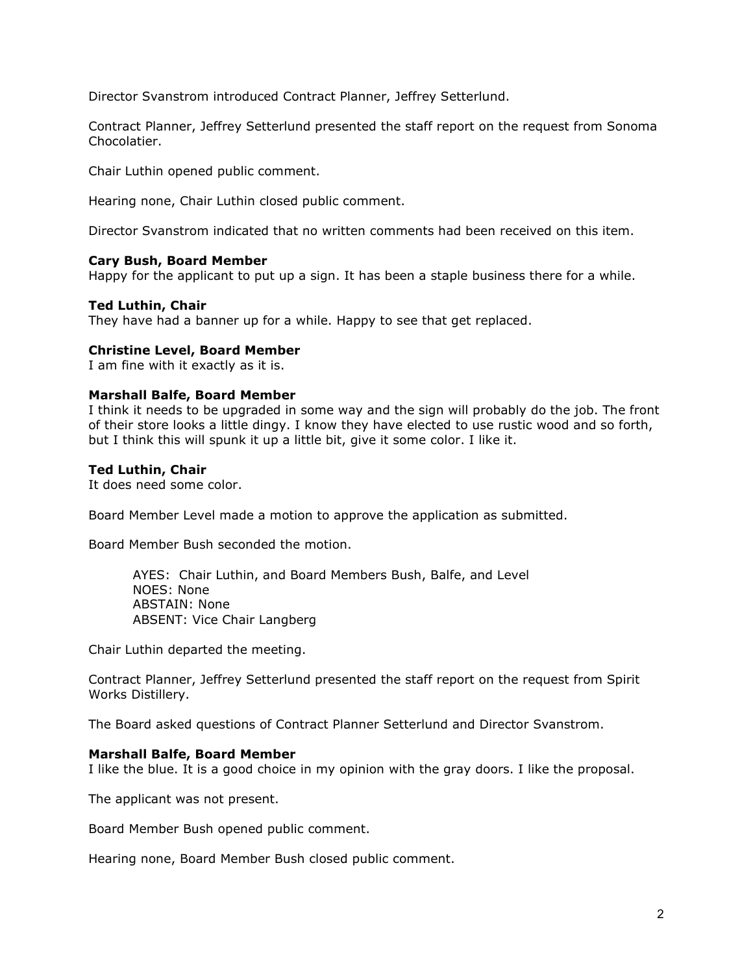Director Svanstrom introduced Contract Planner, Jeffrey Setterlund.

Contract Planner, Jeffrey Setterlund presented the staff report on the request from Sonoma Chocolatier.

Chair Luthin opened public comment.

Hearing none, Chair Luthin closed public comment.

Director Svanstrom indicated that no written comments had been received on this item.

## **Cary Bush, Board Member**

Happy for the applicant to put up a sign. It has been a staple business there for a while.

## **Ted Luthin, Chair**

They have had a banner up for a while. Happy to see that get replaced.

## **Christine Level, Board Member**

I am fine with it exactly as it is.

## **Marshall Balfe, Board Member**

I think it needs to be upgraded in some way and the sign will probably do the job. The front of their store looks a little dingy. I know they have elected to use rustic wood and so forth, but I think this will spunk it up a little bit, give it some color. I like it.

## **Ted Luthin, Chair**

It does need some color.

Board Member Level made a motion to approve the application as submitted.

Board Member Bush seconded the motion.

AYES: Chair Luthin, and Board Members Bush, Balfe, and Level NOES: None ABSTAIN: None ABSENT: Vice Chair Langberg

Chair Luthin departed the meeting.

Contract Planner, Jeffrey Setterlund presented the staff report on the request from Spirit Works Distillery.

The Board asked questions of Contract Planner Setterlund and Director Svanstrom.

## **Marshall Balfe, Board Member**

I like the blue. It is a good choice in my opinion with the gray doors. I like the proposal.

The applicant was not present.

Board Member Bush opened public comment.

Hearing none, Board Member Bush closed public comment.